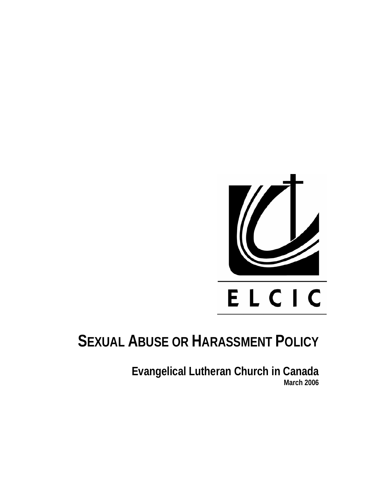

# **SEXUAL ABUSE OR HARASSMENT POLICY**

**Evangelical Lutheran Church in Canada March 2006**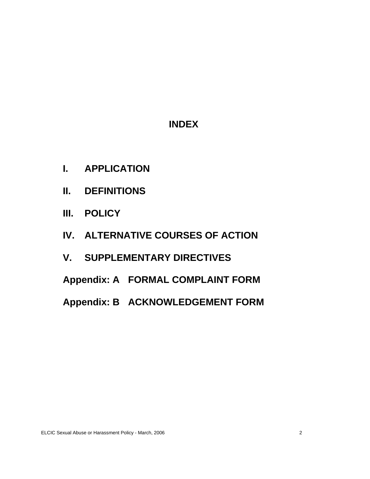# **INDEX**

- **I. APPLICATION**
- **II. DEFINITIONS**
- **III. POLICY**
- **IV. ALTERNATIVE COURSES OF ACTION**
- **V. SUPPLEMENTARY DIRECTIVES**
- **Appendix: A FORMAL COMPLAINT FORM**
- **Appendix: B ACKNOWLEDGEMENT FORM**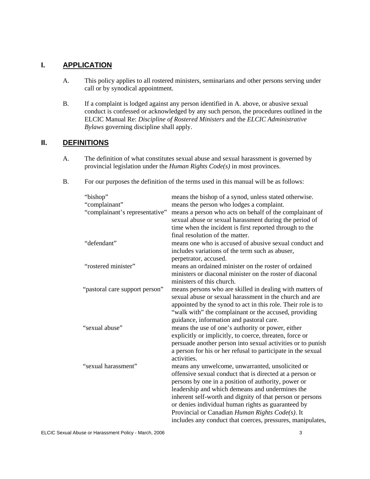#### **I. APPLICATION**

- A. This policy applies to all rostered ministers, seminarians and other persons serving under call or by synodical appointment.
- B. If a complaint is lodged against any person identified in A. above, or abusive sexual conduct is confessed or acknowledged by any such person, the procedures outlined in the ELCIC Manual Re: *Discipline of Rostered Ministers* and the *ELCIC Administrative Bylaws* governing discipline shall apply.

#### **II. DEFINITIONS**

- A. The definition of what constitutes sexual abuse and sexual harassment is governed by provincial legislation under the *Human Rights Code(s)* in most provinces.
- B. For our purposes the definition of the terms used in this manual will be as follows:

| "bishop"                                              | means the bishop of a synod, unless stated otherwise.                                                                                                                                                                                                                                                                                                                                                                                                                                                                                                                                                                              |
|-------------------------------------------------------|------------------------------------------------------------------------------------------------------------------------------------------------------------------------------------------------------------------------------------------------------------------------------------------------------------------------------------------------------------------------------------------------------------------------------------------------------------------------------------------------------------------------------------------------------------------------------------------------------------------------------------|
| "complainant"                                         | means the person who lodges a complaint.                                                                                                                                                                                                                                                                                                                                                                                                                                                                                                                                                                                           |
| "complainant's representative"                        | means a person who acts on behalf of the complainant of<br>sexual abuse or sexual harassment during the period of<br>time when the incident is first reported through to the                                                                                                                                                                                                                                                                                                                                                                                                                                                       |
|                                                       | final resolution of the matter.                                                                                                                                                                                                                                                                                                                                                                                                                                                                                                                                                                                                    |
| "defendant"                                           | means one who is accused of abusive sexual conduct and                                                                                                                                                                                                                                                                                                                                                                                                                                                                                                                                                                             |
|                                                       | includes variations of the term such as abuser,<br>perpetrator, accused.                                                                                                                                                                                                                                                                                                                                                                                                                                                                                                                                                           |
| "rostered minister"                                   | means an ordained minister on the roster of ordained                                                                                                                                                                                                                                                                                                                                                                                                                                                                                                                                                                               |
|                                                       | ministers or diaconal minister on the roster of diaconal                                                                                                                                                                                                                                                                                                                                                                                                                                                                                                                                                                           |
|                                                       |                                                                                                                                                                                                                                                                                                                                                                                                                                                                                                                                                                                                                                    |
|                                                       |                                                                                                                                                                                                                                                                                                                                                                                                                                                                                                                                                                                                                                    |
|                                                       | sexual abuse or sexual harassment in the church and are                                                                                                                                                                                                                                                                                                                                                                                                                                                                                                                                                                            |
|                                                       |                                                                                                                                                                                                                                                                                                                                                                                                                                                                                                                                                                                                                                    |
|                                                       | "walk with" the complainant or the accused, providing                                                                                                                                                                                                                                                                                                                                                                                                                                                                                                                                                                              |
|                                                       | guidance, information and pastoral care.                                                                                                                                                                                                                                                                                                                                                                                                                                                                                                                                                                                           |
| "sexual abuse"                                        | means the use of one's authority or power, either                                                                                                                                                                                                                                                                                                                                                                                                                                                                                                                                                                                  |
|                                                       | explicitly or implicitly, to coerce, threaten, force or                                                                                                                                                                                                                                                                                                                                                                                                                                                                                                                                                                            |
|                                                       | persuade another person into sexual activities or to punish                                                                                                                                                                                                                                                                                                                                                                                                                                                                                                                                                                        |
|                                                       | a person for his or her refusal to participate in the sexual                                                                                                                                                                                                                                                                                                                                                                                                                                                                                                                                                                       |
|                                                       |                                                                                                                                                                                                                                                                                                                                                                                                                                                                                                                                                                                                                                    |
|                                                       |                                                                                                                                                                                                                                                                                                                                                                                                                                                                                                                                                                                                                                    |
|                                                       |                                                                                                                                                                                                                                                                                                                                                                                                                                                                                                                                                                                                                                    |
|                                                       |                                                                                                                                                                                                                                                                                                                                                                                                                                                                                                                                                                                                                                    |
|                                                       |                                                                                                                                                                                                                                                                                                                                                                                                                                                                                                                                                                                                                                    |
|                                                       |                                                                                                                                                                                                                                                                                                                                                                                                                                                                                                                                                                                                                                    |
|                                                       |                                                                                                                                                                                                                                                                                                                                                                                                                                                                                                                                                                                                                                    |
|                                                       |                                                                                                                                                                                                                                                                                                                                                                                                                                                                                                                                                                                                                                    |
| "pastoral care support person"<br>"sexual harassment" | ministers of this church.<br>means persons who are skilled in dealing with matters of<br>appointed by the synod to act in this role. Their role is to<br>activities.<br>means any unwelcome, unwarranted, unsolicited or<br>offensive sexual conduct that is directed at a person or<br>persons by one in a position of authority, power or<br>leadership and which demeans and undermines the<br>inherent self-worth and dignity of that person or persons<br>or denies individual human rights as guaranteed by<br>Provincial or Canadian Human Rights Code(s). It<br>includes any conduct that coerces, pressures, manipulates, |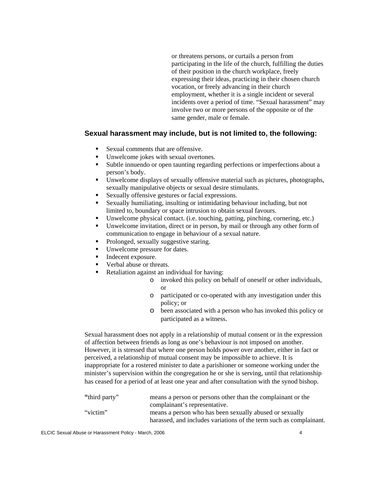or threatens persons, or curtails a person from participating in the life of the church, fulfilling the duties of their position in the church workplace, freely expressing their ideas, practicing in their chosen church vocation, or freely advancing in their church employment, whether it is a single incident or several incidents over a period of time. "Sexual harassment" may involve two or more persons of the opposite or of the same gender, male or female.

#### **Sexual harassment may include, but is not limited to, the following:**

- Sexual comments that are offensive.
- Unwelcome jokes with sexual overtones.
- Subtle innuendo or open taunting regarding perfections or imperfections about a person's body.
- Unwelcome displays of sexually offensive material such as pictures, photographs, sexually manipulative objects or sexual desire stimulants.
- Sexually offensive gestures or facial expressions.
- Sexually humiliating, insulting or intimidating behaviour including, but not limited to, boundary or space intrusion to obtain sexual favours.
- Unwelcome physical contact. (i.e. touching, patting, pinching, cornering, etc.)
- Unwelcome invitation, direct or in person, by mail or through any other form of communication to engage in behaviour of a sexual nature.
- Prolonged, sexually suggestive staring.
- Unwelcome pressure for dates.
- Indecent exposure.
- Verbal abuse or threats.
- Retaliation against an individual for having:
	- o invoked this policy on behalf of oneself or other individuals, or
	- o participated or co-operated with any investigation under this policy; or
	- o been associated with a person who has invoked this policy or participated as a witness.

Sexual harassment does not apply in a relationship of mutual consent or in the expression of affection between friends as long as one's behaviour is not imposed on another. However, it is stressed that where one person holds power over another, either in fact or perceived, a relationship of mutual consent may be impossible to achieve. It is inappropriate for a rostered minister to date a parishioner or someone working under the minister's supervision within the congregation he or she is serving, until that relationship has ceased for a period of at least one year and after consultation with the synod bishop.

| "third party" | means a person or persons other than the complainant or the        |
|---------------|--------------------------------------------------------------------|
|               | complainant's representative.                                      |
| "victim"      | means a person who has been sexually abused or sexually            |
|               | harassed, and includes variations of the term such as complainant. |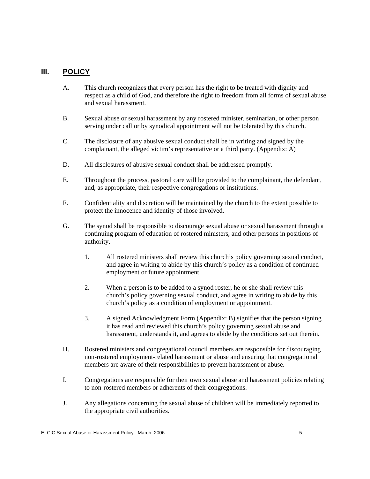#### **III. POLICY**

- A. This church recognizes that every person has the right to be treated with dignity and respect as a child of God, and therefore the right to freedom from all forms of sexual abuse and sexual harassment.
- B. Sexual abuse or sexual harassment by any rostered minister, seminarian, or other person serving under call or by synodical appointment will not be tolerated by this church.
- C. The disclosure of any abusive sexual conduct shall be in writing and signed by the complainant, the alleged victim's representative or a third party. (Appendix: A)
- D. All disclosures of abusive sexual conduct shall be addressed promptly.
- E. Throughout the process, pastoral care will be provided to the complainant, the defendant, and, as appropriate, their respective congregations or institutions.
- F. Confidentiality and discretion will be maintained by the church to the extent possible to protect the innocence and identity of those involved.
- G. The synod shall be responsible to discourage sexual abuse or sexual harassment through a continuing program of education of rostered ministers, and other persons in positions of authority.
	- 1. All rostered ministers shall review this church's policy governing sexual conduct, and agree in writing to abide by this church's policy as a condition of continued employment or future appointment.
	- 2. When a person is to be added to a synod roster, he or she shall review this church's policy governing sexual conduct, and agree in writing to abide by this church's policy as a condition of employment or appointment.
	- 3. A signed Acknowledgment Form (Appendix: B) signifies that the person signing it has read and reviewed this church's policy governing sexual abuse and harassment, understands it, and agrees to abide by the conditions set out therein.
- H. Rostered ministers and congregational council members are responsible for discouraging non-rostered employment-related harassment or abuse and ensuring that congregational members are aware of their responsibilities to prevent harassment or abuse.
- I. Congregations are responsible for their own sexual abuse and harassment policies relating to non-rostered members or adherents of their congregations.
- J. Any allegations concerning the sexual abuse of children will be immediately reported to the appropriate civil authorities.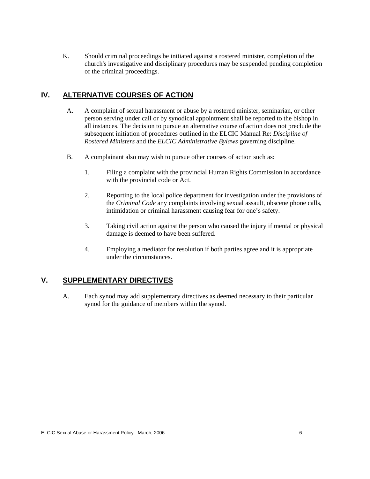K. Should criminal proceedings be initiated against a rostered minister, completion of the church's investigative and disciplinary procedures may be suspended pending completion of the criminal proceedings.

# **IV. ALTERNATIVE COURSES OF ACTION**

- A. A complaint of sexual harassment or abuse by a rostered minister, seminarian, or other person serving under call or by synodical appointment shall be reported to the bishop in all instances. The decision to pursue an alternative course of action does not preclude the subsequent initiation of procedures outlined in the ELCIC Manual Re: *Discipline of Rostered Ministers* and the *ELCIC Administrative Bylaws* governing discipline.
- B. A complainant also may wish to pursue other courses of action such as:
	- 1. Filing a complaint with the provincial Human Rights Commission in accordance with the provincial code or Act.
	- 2. Reporting to the local police department for investigation under the provisions of the *Criminal Code* any complaints involving sexual assault, obscene phone calls, intimidation or criminal harassment causing fear for one's safety.
	- 3. Taking civil action against the person who caused the injury if mental or physical damage is deemed to have been suffered.
	- 4. Employing a mediator for resolution if both parties agree and it is appropriate under the circumstances.

# **V. SUPPLEMENTARY DIRECTIVES**

A. Each synod may add supplementary directives as deemed necessary to their particular synod for the guidance of members within the synod.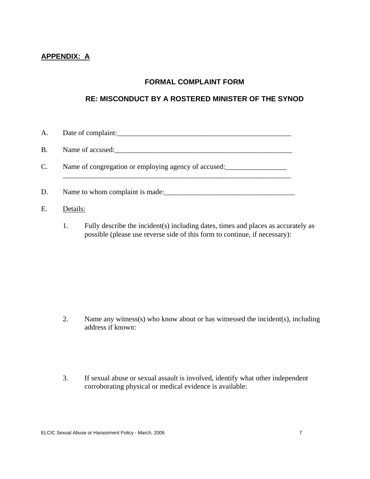# **APPENDIX: A**

# **FORMAL COMPLAINT FORM**

# **RE: MISCONDUCT BY A ROSTERED MINISTER OF THE SYNOD**

| A.             | Date of complaint:                                   |
|----------------|------------------------------------------------------|
| <b>B.</b>      | Name of accused:                                     |
| $\mathbf{C}$ . | Name of congregation or employing agency of accused: |
| D.             | Name to whom complaint is made:                      |
| E.             | Details:                                             |

1. Fully describe the incident(s) including dates, times and places as accurately as possible (please use reverse side of this form to continue, if necessary):

- 2. Name any witness(s) who know about or has witnessed the incident(s), including address if known:
- 3. If sexual abuse or sexual assault is involved, identify what other independent corroborating physical or medical evidence is available: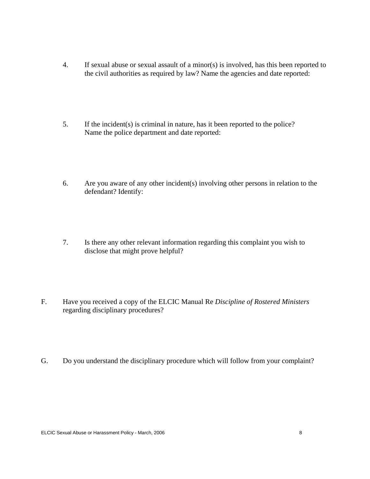- 4. If sexual abuse or sexual assault of a minor(s) is involved, has this been reported to the civil authorities as required by law? Name the agencies and date reported:
- 5. If the incident(s) is criminal in nature, has it been reported to the police? Name the police department and date reported:
- 6. Are you aware of any other incident(s) involving other persons in relation to the defendant? Identify:
- 7. Is there any other relevant information regarding this complaint you wish to disclose that might prove helpful?
- F. Have you received a copy of the ELCIC Manual Re *Discipline of Rostered Ministers* regarding disciplinary procedures?
- G. Do you understand the disciplinary procedure which will follow from your complaint?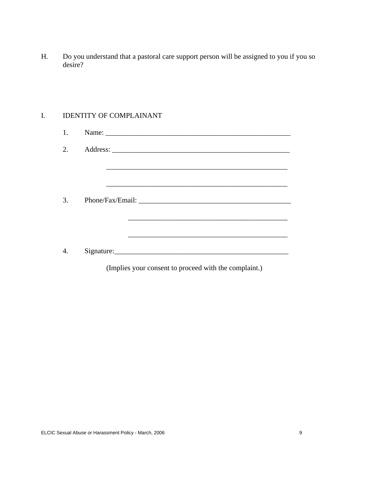H. Do you understand that a pastoral care support person will be assigned to you if you so desire?

#### I. IDENTITY OF COMPLAINANT

| 1. |                                                            |
|----|------------------------------------------------------------|
| 2. |                                                            |
|    |                                                            |
|    |                                                            |
| 3. |                                                            |
|    |                                                            |
|    | <u> 1989 - Johann Stoff, amerikansk politiker (* 1908)</u> |
| 4. |                                                            |
|    | (Implies your consent to proceed with the complaint.)      |